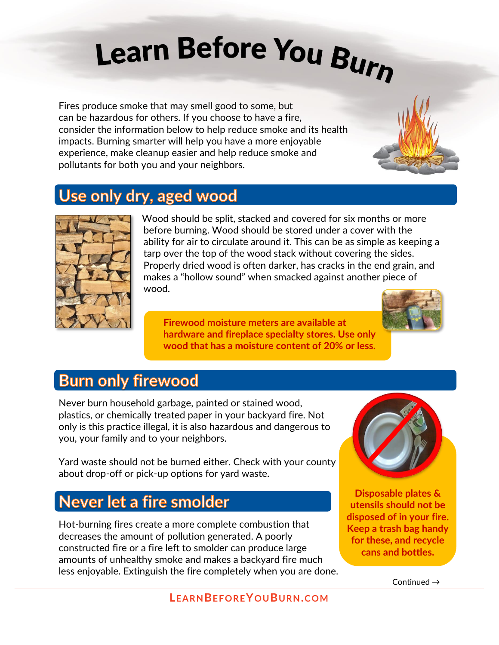# Learn Before You Burn

Fires produce smoke that may smell good to some, but can be hazardous for others. If you choose to have a fire, consider the information below to help reduce smoke and its health impacts. Burning smarter will help you have a more enjoyable experience, make cleanup easier and help reduce smoke and pollutants for both you and your neighbors.

## Use only dry, aged wood



Wood should be split, stacked and covered for six months or more before burning. Wood should be stored under a cover with the ability for air to circulate around it. This can be as simple as keeping a tarp over the top of the wood stack without covering the sides. Properly dried wood is often darker, has cracks in the end grain, and makes a "hollow sound" when smacked against another piece of wood.

**Firewood moisture meters are available at hardware and fireplace specialty stores. Use only wood that has a moisture content of 20% or less.** 



### **Burn only firewood**

Never burn household garbage, painted or stained wood, plastics, or chemically treated paper in your backyard fire. Not only is this practice illegal, it is also hazardous and dangerous to you, your family and to your neighbors.

Yard waste should not be burned either. Check with your county about drop-off or pick-up options for yard waste.

## Never let a fire smolder

Hot-burning fires create a more complete combustion that decreases the amount of pollution generated. A poorly constructed fire or a fire left to smolder can produce large amounts of unhealthy smoke and makes a backyard fire much less enjoyable. Extinguish the fire completely when you are done.



**Disposable plates & utensils should not be disposed of in your fire. Keep a trash bag handy for these, and recycle cans and bottles.**

Continued →

**LEARNBEFOREYOUBURN.COM**